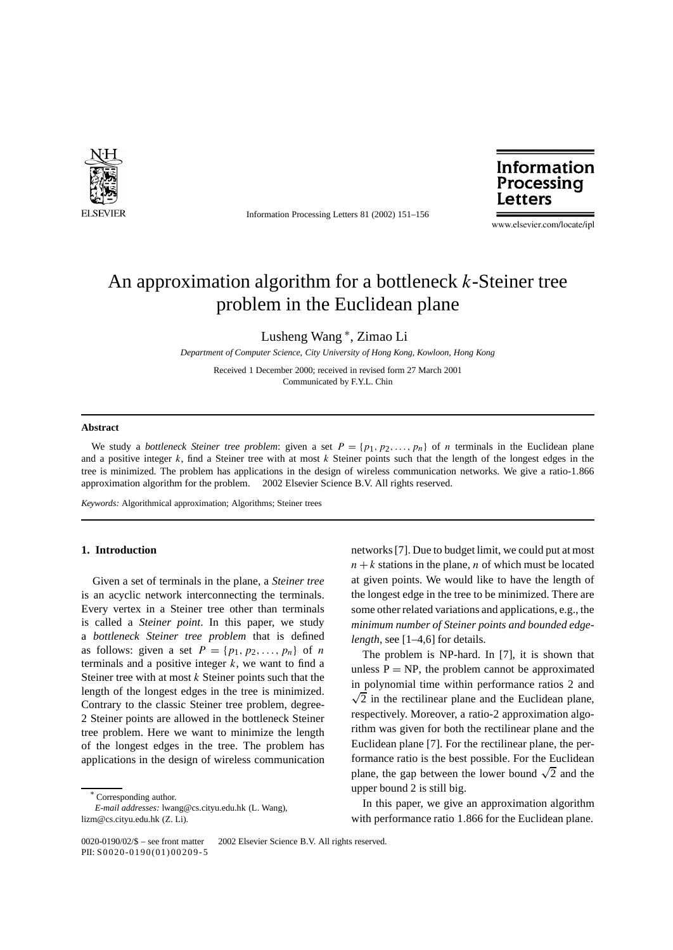

Information Processing Letters 81 (2002) 151–156



www.elsevier.com/locate/ipl

# An approximation algorithm for a bottleneck *k*-Steiner tree problem in the Euclidean plane

Lusheng Wang <sup>∗</sup>, Zimao Li

*Department of Computer Science, City University of Hong Kong, Kowloon, Hong Kong*

Received 1 December 2000; received in revised form 27 March 2001 Communicated by F.Y.L. Chin

## **Abstract**

We study a *bottleneck Steiner tree problem*: given a set  $P = \{p_1, p_2, \ldots, p_n\}$  of *n* terminals in the Euclidean plane and a positive integer *k*, find a Steiner tree with at most *k* Steiner points such that the length of the longest edges in the tree is minimized. The problem has applications in the design of wireless communication networks. We give a ratio-1*.*866 approximation algorithm for the problem.  $\odot$  2002 Elsevier Science B.V. All rights reserved.

*Keywords:* Algorithmical approximation; Algorithms; Steiner trees

### **1. Introduction**

Given a set of terminals in the plane, a *Steiner tree* is an acyclic network interconnecting the terminals. Every vertex in a Steiner tree other than terminals is called a *Steiner point*. In this paper, we study a *bottleneck Steiner tree problem* that is defined as follows: given a set  $P = \{p_1, p_2, \ldots, p_n\}$  of *n* terminals and a positive integer  $k$ , we want to find a Steiner tree with at most *k* Steiner points such that the length of the longest edges in the tree is minimized. Contrary to the classic Steiner tree problem, degree-2 Steiner points are allowed in the bottleneck Steiner tree problem. Here we want to minimize the length of the longest edges in the tree. The problem has applications in the design of wireless communication

networks [7]. Due to budget limit, we could put at most  $n + k$  stations in the plane, *n* of which must be located at given points. We would like to have the length of the longest edge in the tree to be minimized. There are some other related variations and applications, e.g., the *minimum number of Steiner points and bounded edgelength*, see [1–4,6] for details.

The problem is NP-hard. In [7], it is shown that unless  $P = NP$ , the problem cannot be approximated in polynomial time within performance ratios 2 and  $\sqrt{2}$  in the rectilinear plane and the Euclidean plane, respectively. Moreover, a ratio-2 approximation algorithm was given for both the rectilinear plane and the Euclidean plane [7]. For the rectilinear plane, the performance ratio is the best possible. For the Euclidean plane, the gap between the lower bound  $\sqrt{2}$  and the upper bound 2 is still big.

In this paper, we give an approximation algorithm with performance ratio 1*.*866 for the Euclidean plane.

Corresponding author.

*E-mail addresses:* lwang@cs.cityu.edu.hk (L. Wang), lizm@cs.cityu.edu.hk (Z. Li).

<sup>0020-0190/02/</sup> $\frac{1}{9}$  – see front matter  $\odot$  2002 Elsevier Science B.V. All rights reserved. PII: S0020-0190(01)00209-5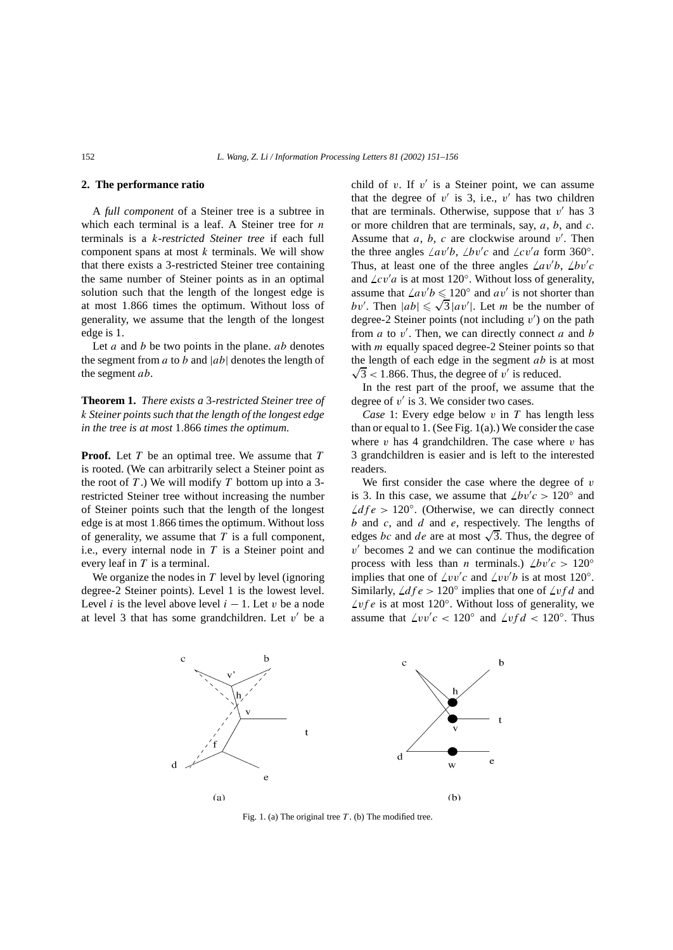# **2. The performance ratio**

A *full component* of a Steiner tree is a subtree in which each terminal is a leaf. A Steiner tree for *n* terminals is a *k*-*restricted Steiner tree* if each full component spans at most *k* terminals. We will show that there exists a 3-restricted Steiner tree containing the same number of Steiner points as in an optimal solution such that the length of the longest edge is at most 1*.*866 times the optimum. Without loss of generality, we assume that the length of the longest edge is 1.

Let *a* and *b* be two points in the plane. *ab* denotes the segment from *a* to *b* and |*ab*| denotes the length of the segment *ab*.

**Theorem 1.** *There exists a* 3*-restricted Steiner tree of k Steiner points such that the length of the longest edge in the tree is at most* 1*.*866 *times the optimum.*

**Proof.** Let *T* be an optimal tree. We assume that *T* is rooted. (We can arbitrarily select a Steiner point as the root of *T* .) We will modify *T* bottom up into a 3 restricted Steiner tree without increasing the number of Steiner points such that the length of the longest edge is at most 1*.*866 times the optimum. Without loss of generality, we assume that *T* is a full component, i.e., every internal node in *T* is a Steiner point and every leaf in *T* is a terminal.

We organize the nodes in  $T$  level by level (ignoring degree-2 Steiner points). Level 1 is the lowest level. Level *i* is the level above level  $i - 1$ . Let *v* be a node at level 3 that has some grandchildren. Let  $v'$  be a child of *v*. If  $v'$  is a Steiner point, we can assume that the degree of  $v'$  is 3, i.e.,  $v'$  has two children that are terminals. Otherwise, suppose that  $v'$  has 3 or more children that are terminals, say, *a*, *b*, and *c*. Assume that  $a, b, c$  are clockwise around  $v'$ . Then the three angles  $\angle av'b$ ,  $\angle bv'c$  and  $\angle cv'a$  form 360°. Thus, at least one of the three angles  $\angle av'b$ ,  $\angle bv'c$ and  $\angle cv'a$  is at most 120°. Without loss of generality, assume that  $\angle av'b \leq 120^\circ$  and  $av'$  is not shorter than assume that  $\angle av \mathit{b} \leq 120^\circ$  and  $\mathit{av}$  is not shorter than  $\mathit{bv}'$ . Then  $|\mathit{ab}| \leq \sqrt{3} |\mathit{av}'|$ . Let *m* be the number of degree-2 Steiner points (not including v') on the path from  $a$  to  $v'$ . Then, we can directly connect  $a$  and  $b$ with *m* equally spaced degree-2 Steiner points so that the length of each edge in the segment  $ab$  is at most  $\sqrt{3}$  < 1.866. Thus, the degree of *v'* is reduced.

In the rest part of the proof, we assume that the degree of  $v'$  is 3. We consider two cases.

*Case* 1: Every edge below *v* in *T* has length less than or equal to  $1$ . (See Fig.  $1(a)$ .) We consider the case where  $v$  has 4 grandchildren. The case where  $v$  has 3 grandchildren is easier and is left to the interested readers.

We first consider the case where the degree of *v* is 3. In this case, we assume that  $\angle bv'c > 120^\circ$  and  $\angle dfe$  > 120°. (Otherwise, we can directly connect *b* and *c*, and *d* and *e*, respectively. The lengths of edges *bc* and *de* are at most  $\sqrt{3}$ . Thus, the degree of  $v'$  becomes 2 and we can continue the modification process with less than *n* terminals.)  $\angle bv'c > 120^\circ$ implies that one of  $\angle vv'c$  and  $\angle vv'b$  is at most 120°. Similarly,  $\angle dfe > 120^\circ$  implies that one of  $\angle vfd$  and  $\angle$ *vf e* is at most 120 $^{\circ}$ . Without loss of generality, we assume that  $\angle vv'c < 120^\circ$  and  $\angle vfd < 120^\circ$ . Thus



Fig. 1. (a) The original tree *T* . (b) The modified tree.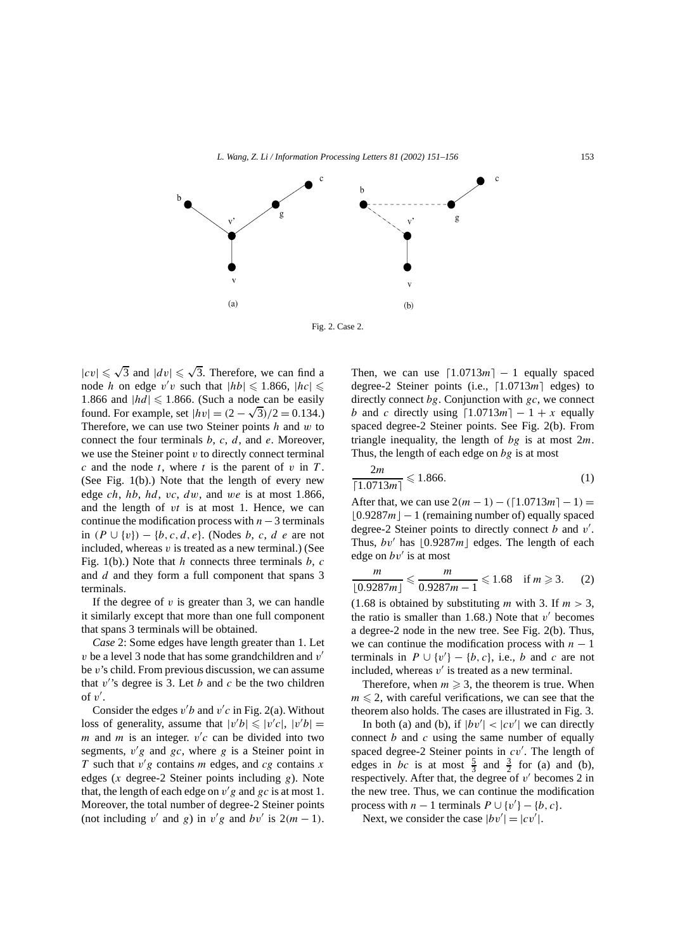

Fig. 2. Case 2.

 $|cv| \leq \sqrt{3}$  and  $|dv| \leq \sqrt{3}$ . Therefore, we can find a node *h* on edge  $v'v$  such that  $|h b| \le 1.866$ ,  $|h c| \le$ 1.866 and  $|h d| \leq 1.866$ . (Such a node can be easily found. For example, set  $|h v| = (2 - \sqrt{3})/2 = 0.134$ .) Therefore, we can use two Steiner points *h* and *w* to connect the four terminals *b*, *c*, *d*, and *e*. Moreover, we use the Steiner point *v* to directly connect terminal  $c$  and the node  $t$ , where  $t$  is the parent of  $v$  in  $T$ . (See Fig. 1(b).) Note that the length of every new edge *ch*, *hb*, *hd*, *vc*, *dw*, and *we* is at most 1*.*866, and the length of *vt* is at most 1. Hence, we can continue the modification process with *n*−3 terminals in *(P* ∪ {*v*}*)* − {*b,c, d,e*}. (Nodes *b*, *c*, *d e* are not included, whereas *v* is treated as a new terminal.) (See Fig. 1(b).) Note that *h* connects three terminals *b*, *c* and *d* and they form a full component that spans 3 terminals.

If the degree of *v* is greater than 3, we can handle it similarly except that more than one full component that spans 3 terminals will be obtained.

*Case* 2: Some edges have length greater than 1. Let *v* be a level 3 node that has some grandchildren and *v* be *v*'s child. From previous discussion, we can assume that  $v$ 's degree is 3. Let  $b$  and  $c$  be the two children of  $v'$ .

Consider the edges  $v'b$  and  $v'c$  in Fig. 2(a). Without loss of generality, assume that  $|v'b| \le |v'c|, |v'b|$ *m* and *m* is an integer.  $v'c$  can be divided into two segments,  $v'g$  and  $gc$ , where  $g$  is a Steiner point in *T* such that  $v'g$  contains *m* edges, and *cg* contains *x* edges (*x* degree-2 Steiner points including *g*). Note that, the length of each edge on  $v'g$  and  $gc$  is at most 1. Moreover, the total number of degree-2 Steiner points (not including *v'* and *g*) in *v'g* and *bv'* is  $2(m - 1)$ . Then, we can use  $\lceil 1.0713m \rceil - 1$  equally spaced degree-2 Steiner points (i.e., [1.0713*m*] edges) to directly connect *bg*. Conjunction with *gc*, we connect *b* and *c* directly using  $\lceil 1.0713m \rceil - 1 + x$  equally spaced degree-2 Steiner points. See Fig. 2(b). From triangle inequality, the length of *bg* is at most 2*m*. Thus, the length of each edge on *bg* is at most

$$
\frac{2m}{[1.0713m]} \le 1.866.\tag{1}
$$

After that, we can use  $2(m - 1) - (1.0713m) - 1 =$  $\lfloor 0.9287m \rfloor - 1$  (remaining number of) equally spaced degree-2 Steiner points to directly connect *b* and *v'*. Thus,  $bv'$  has  $\lfloor 0.9287m \rfloor$  edges. The length of each edge on  $bv'$  is at most

$$
\frac{m}{\lfloor 0.9287m \rfloor} \leqslant \frac{m}{0.9287m - 1} \leqslant 1.68 \quad \text{if } m \geqslant 3. \tag{2}
$$

 $(1.68$  is obtained by substituting *m* with 3. If  $m > 3$ , the ratio is smaller than 1.68.) Note that  $v'$  becomes a degree-2 node in the new tree. See Fig. 2(b). Thus, we can continue the modification process with  $n - 1$ terminals in  $P \cup \{v'\} - \{b, c\}$ , i.e., *b* and *c* are not included, whereas  $v'$  is treated as a new terminal.

Therefore, when  $m \geqslant 3$ , the theorem is true. When  $m \leq 2$ , with careful verifications, we can see that the theorem also holds. The cases are illustrated in Fig. 3.

In both (a) and (b), if  $|bv'| < |cv'|$  we can directly connect *b* and *c* using the same number of equally spaced degree-2 Steiner points in  $cv'$ . The length of edges in *bc* is at most  $\frac{5}{3}$  and  $\frac{3}{2}$  for (a) and (b), respectively. After that, the degree of  $v'$  becomes 2 in the new tree. Thus, we can continue the modification process with  $n-1$  terminals  $P \cup \{v'\} - \{b, c\}.$ 

Next, we consider the case  $|bv'| = |cv'|$ .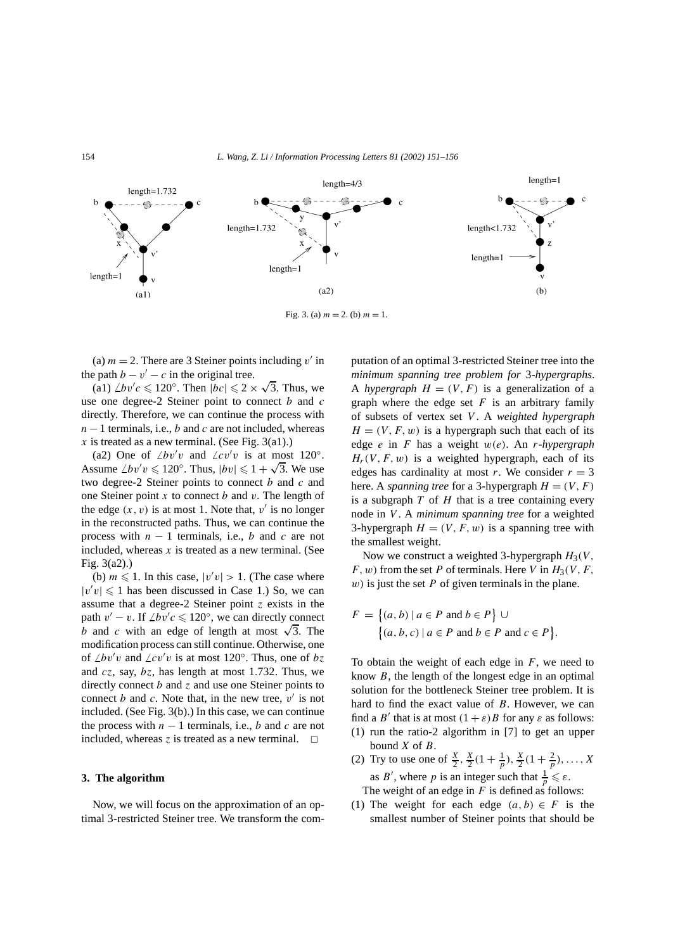

Fig. 3. (a)  $m = 2$ . (b)  $m = 1$ .

(a)  $m = 2$ . There are 3 Steiner points including  $v'$  in the path  $b - v' - c$  in the original tree.

 $\chi$  path  $b - v' - c$  in the original tree.<br>
(a1)  $\angle bv'c \le 120^\circ$ . Then  $|bc| \le 2 \times \sqrt{3}$ . Thus, we use one degree-2 Steiner point to connect *b* and *c* directly. Therefore, we can continue the process with *n* − 1 terminals, i.e., *b* and *c* are not included, whereas  $x$  is treated as a new terminal. (See Fig. 3(a1).)

(a2) One of  $\angle bv'v$  and  $\angle cv'v$  is at most 120°. (az) One or  $\angle bv$  *v* and  $\angle cv$  *v* is at most  $120^\circ$ .<br>Assume  $\angle bv'v \le 120^\circ$ . Thus,  $|bv| \le 1 + \sqrt{3}$ . We use two degree-2 Steiner points to connect *b* and *c* and one Steiner point *x* to connect *b* and *v*. The length of the edge  $(x, v)$  is at most 1. Note that,  $v'$  is no longer in the reconstructed paths. Thus, we can continue the process with  $n - 1$  terminals, i.e., *b* and *c* are not included, whereas  $x$  is treated as a new terminal. (See Fig. 3(a2).)

(b)  $m \le 1$ . In this case,  $|v'v| > 1$ . (The case where  $|v'v| \le 1$  has been discussed in Case 1.) So, we can assume that a degree-2 Steiner point *z* exists in the path  $v' - v$ . If  $\angle bv'c \leq 120^\circ$ , we can directly connect *b* and *c* with an edge of length at most  $\sqrt{3}$ . The modification process can still continue. Otherwise, one of  $\angle bv'v$  and  $\angle cv'v$  is at most 120°. Thus, one of  $bz$ and *cz*, say, *bz*, has length at most 1*.*732. Thus, we directly connect *b* and *z* and use one Steiner points to connect *b* and *c*. Note that, in the new tree,  $v'$  is not included. (See Fig. 3(b).) In this case, we can continue the process with  $n - 1$  terminals, i.e., *b* and *c* are not included, whereas  $\zeta$  is treated as a new terminal.  $\Box$ 

#### **3. The algorithm**

Now, we will focus on the approximation of an optimal 3-restricted Steiner tree. We transform the computation of an optimal 3-restricted Steiner tree into the *minimum spanning tree problem for* 3*-hypergraphs*. A *hypergraph*  $H = (V, F)$  is a generalization of a graph where the edge set  $F$  is an arbitrary family of subsets of vertex set *V* . A *weighted hypergraph*  $H = (V, F, w)$  is a hypergraph such that each of its edge *e* in *F* has a weight *w(e)*. An *r-hypergraph*  $H_r(V, F, w)$  is a weighted hypergraph, each of its edges has cardinality at most *r*. We consider  $r = 3$ here. A *spanning tree* for a 3-hypergraph  $H = (V, F)$ is a subgraph  $T$  of  $H$  that is a tree containing every node in *V* . A *minimum spanning tree* for a weighted 3-hypergraph  $H = (V, F, w)$  is a spanning tree with the smallest weight.

Now we construct a weighted 3-hypergraph  $H_3(V, \mathbb{R})$  $F, w$ ) from the set *P* of terminals. Here *V* in  $H_3(V, F, F)$ *w)* is just the set *P* of given terminals in the plane.

$$
F = \{(a, b) \mid a \in P \text{ and } b \in P\} \cup \{(a, b, c) \mid a \in P \text{ and } b \in P \text{ and } c \in P\}.
$$

To obtain the weight of each edge in  $F$ , we need to know *B*, the length of the longest edge in an optimal solution for the bottleneck Steiner tree problem. It is hard to find the exact value of *B*. However, we can find a *B'* that is at most  $(1 + \varepsilon)B$  for any  $\varepsilon$  as follows: (1) run the ratio-2 algorithm in [7] to get an upper bound *X* of *B*.

- (2) Try to use one of  $\frac{X}{2}$ ,  $\frac{X}{2}(1+\frac{1}{p}), \frac{X}{2}(1+\frac{2}{p}), \ldots, X$ as *B'*, where *p* is an integer such that  $\frac{1}{p} \leq \varepsilon$ . The weight of an edge in  $F$  is defined as follows:
- (1) The weight for each edge  $(a, b) \in F$  is the smallest number of Steiner points that should be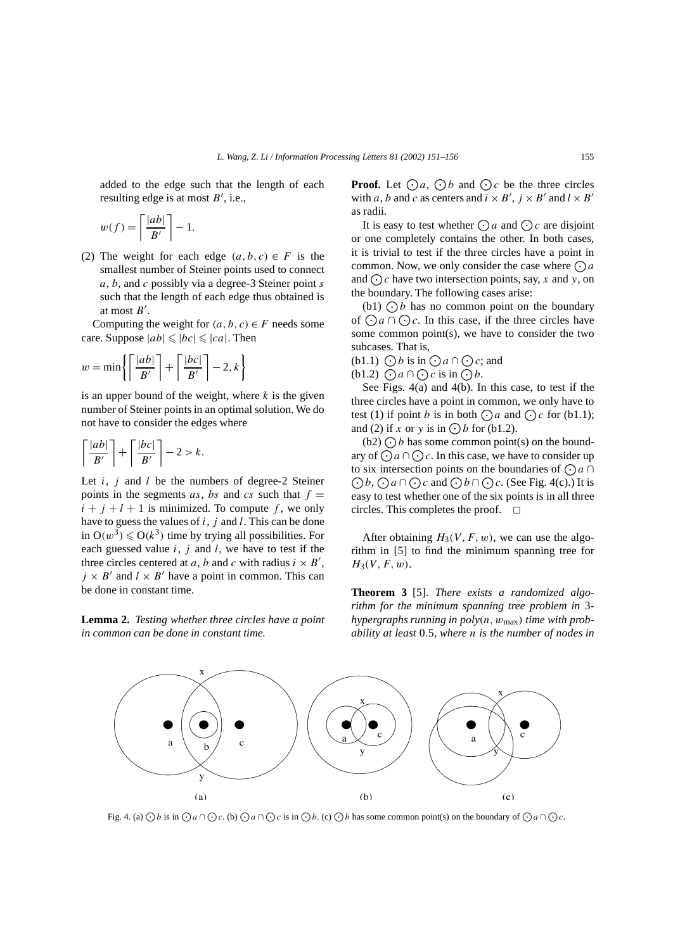added to the edge such that the length of each resulting edge is at most  $B'$ , i.e.,

$$
w(f) = \left\lceil \frac{|ab|}{B'} \right\rceil - 1.
$$

(2) The weight for each edge  $(a, b, c) \in F$  is the smallest number of Steiner points used to connect *a*, *b*, and *c* possibly via a degree-3 Steiner point *s* such that the length of each edge thus obtained is at most  $B'$ .

Computing the weight for  $(a, b, c) \in F$  needs some care. Suppose  $|ab| \leq |bc| \leq |ca|$ . Then

$$
w = \min\left\{ \left\lceil \frac{|ab|}{B'} \right\rceil + \left\lceil \frac{|bc|}{B'} \right\rceil - 2, k \right\}
$$

is an upper bound of the weight, where  $k$  is the given number of Steiner points in an optimal solution. We do not have to consider the edges where

$$
\left\lceil \frac{|ab|}{B'} \right\rceil + \left\lceil \frac{|bc|}{B'} \right\rceil - 2 > k.
$$

Let *i*, *j* and *l* be the numbers of degree-2 Steiner points in the segments  $as$ ,  $bs$  and  $cs$  such that  $f =$  $i + j + l + 1$  is minimized. To compute f, we only have to guess the values of *i*, *j* and *l*. This can be done in  $O(w^3) \leqslant O(k^3)$  time by trying all possibilities. For each guessed value *i*, *j* and *l*, we have to test if the three circles centered at *a*, *b* and *c* with radius  $i \times B'$ ,  $j \times B'$  and  $l \times B'$  have a point in common. This can be done in constant time.

**Lemma 2.** *Testing whether three circles have a point in common can be done in constant time.*

**Proof.** Let  $\bigcirc a$ ,  $\bigcirc b$  and  $\bigcirc c$  be the three circles with *a*, *b* and *c* as centers and  $i \times B'$ ,  $j \times B'$  and  $l \times B'$ as radii.

It is easy to test whether  $\bigodot a$  and  $\bigodot c$  are disjoint or one completely contains the other. In both cases, it is trivial to test if the three circles have a point in common. Now, we only consider the case where  $\bigodot a$ and  $\bigcirc$  c have two intersection points, say, *x* and *y*, on the boundary. The following cases arise:

(b1)  $\bigcap b$  has no common point on the boundary of  $\bigcap a \cap \bigcap c$ . In this case, if the three circles have some common point $(s)$ , we have to consider the two subcases. That is,

(b1.1)  $\bigodot b$  is in  $\bigodot a \cap \bigodot c$ ; and

 $(b1.2)$   $\bigcap a \cap \bigcap c$  is in  $\bigcap b$ .

See Figs. 4(a) and 4(b). In this case, to test if the three circles have a point in common, we only have to test (1) if point *b* is in both  $\bigcap a$  and  $\bigcap c$  for (b1.1); and (2) if *x* or *y* is in  $\bigodot$  *b* for (b1.2).

(b2)  $\bigcirc$  *b* has some common point(s) on the boundary of  $\bigodot a \cap \bigodot c$ . In this case, we have to consider up to six intersection points on the boundaries of  $\bigodot a \cap \bigodot b$ ,  $\bigodot a \cap \bigodot c$  and  $\bigodot b \cap \bigodot c$ . (See Fig. 4(c).) It is *b*,  $\bigodot a \cap \bigodot c$  and  $\bigodot b \cap \bigodot c$ . (See Fig. 4(c).) It is easy to test whether one of the six points is in all three circles. This completes the proof.  $\Box$ 

After obtaining  $H_3(V, F, w)$ , we can use the algorithm in [5] to find the minimum spanning tree for  $H_3(V, F, w)$ .

**Theorem 3** [5]. *There exists a randomized algorithm for the minimum spanning tree problem in* 3 *hypergraphs running in poly(n, w*max*) time with probability at least* 0*.*5*, where n is the number of nodes in*



Fig. 4. (a)  $\bigcirc b$  is in  $\bigcirc a \cap \bigcirc c$ . (b)  $\bigcirc a \cap \bigcirc c$  is in  $\bigcirc b$ . (c)  $\bigcirc b$  has some common point(s) on the boundary of  $\bigcirc a \cap \bigcirc c$ .